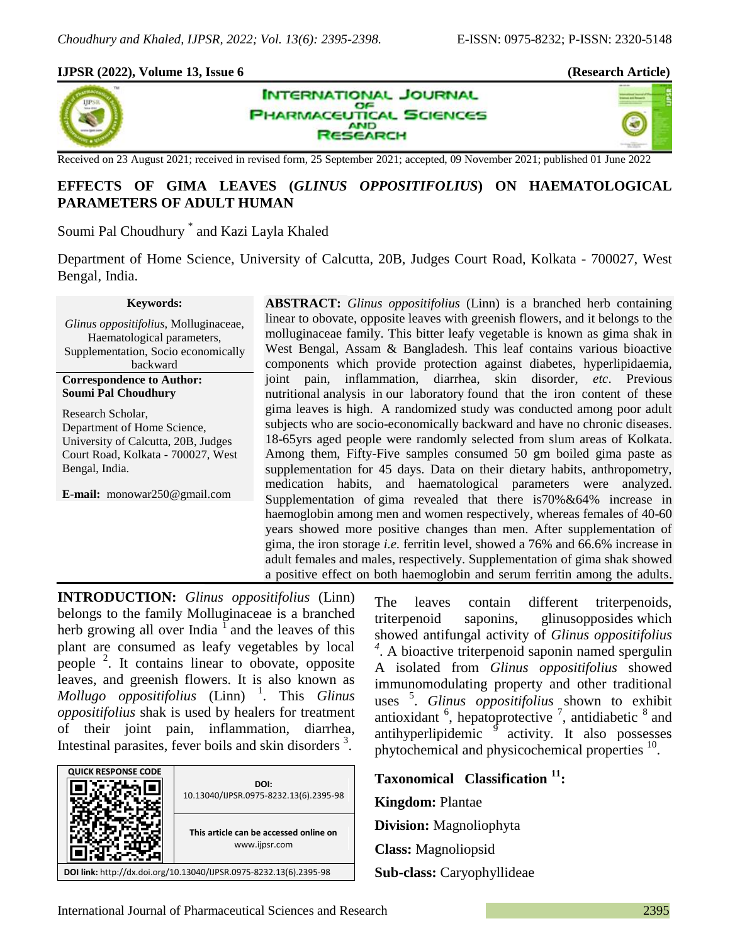40

## **IJPSR (2022), Volume 13, Issue 6 (Research Article)**





Received on 23 August 2021; received in revised form, 25 September 2021; accepted, 09 November 2021; published 01 June 2022

# **EFFECTS OF GIMA LEAVES (***GLINUS OPPOSITIFOLIUS***) ON HAEMATOLOGICAL PARAMETERS OF ADULT HUMAN**

Soumi Pal Choudhury \* and Kazi Layla Khaled

Department of Home Science, University of Calcutta, 20B, Judges Court Road, Kolkata - 700027, West Bengal, India.

#### **Keywords:**

*Glinus oppositifolius*, Molluginaceae, Haematological parameters, Supplementation, Socio economically backward **Correspondence to Author:**

**Soumi Pal Choudhury** Research Scholar, Department of Home Science, University of Calcutta, 20B, Judges

Court Road, Kolkata - 700027, West Bengal, India.

**E-mail:** monowar250@gmail.com

**ABSTRACT:** *Glinus oppositifolius* (Linn) is a branched herb containing linear to obovate, opposite leaves with greenish flowers, and it belongs to the molluginaceae family. This bitter leafy vegetable is known as gima shak in West Bengal, Assam & Bangladesh. This leaf contains various bioactive components which provide protection against diabetes, hyperlipidaemia, joint pain, inflammation, diarrhea, skin disorder, *etc*. Previous nutritional analysis in our laboratory found that the iron content of these gima leaves is high. A randomized study was conducted among poor adult subjects who are socio-economically backward and have no chronic diseases. 18-65yrs aged people were randomly selected from slum areas of Kolkata. Among them, Fifty-Five samples consumed 50 gm boiled gima paste as supplementation for 45 days. Data on their dietary habits, anthropometry, medication habits, and haematological parameters were analyzed. Supplementation of gima revealed that there is70%&64% increase in haemoglobin among men and women respectively, whereas females of 40-60 years showed more positive changes than men. After supplementation of gima, the iron storage *i.e.* ferritin level, showed a 76% and 66.6% increase in adult females and males, respectively. Supplementation of gima shak showed a positive effect on both haemoglobin and serum ferritin among the adults.

**INTRODUCTION:** *Glinus oppositifolius* (Linn) belongs to the family Molluginaceae is a branched herb growing all over India  $\overline{I}$  and the leaves of this plant are consumed as leafy vegetables by local people <sup>2</sup>. It contains linear to obovate, opposite leaves, and greenish flowers. It is also known as *Mollugo oppositifolius* (Linn) <sup>1</sup> . This *Glinus oppositifolius* shak is used by healers for treatment of their joint pain, inflammation, diarrhea, Intestinal parasites, fever boils and skin disorders<sup>3</sup>.



The leaves contain different triterpenoids, triterpenoid saponins, glinusopposides which showed antifungal activity of *Glinus oppositifolius 4* . A bioactive triterpenoid saponin named spergulin A isolated from *Glinus oppositifolius* showed immunomodulating property and other traditional uses <sup>5</sup> . *Glinus oppositifolius* shown to exhibit antioxidant  $\frac{6}{7}$ , hepatoprotective  $\frac{7}{7}$ , antidiabetic  $\frac{8}{7}$  and antihyperlipidemic <sup>9</sup> activity. It also possesses phytochemical and physicochemical properties <sup>10</sup>.

**Taxonomical Classification <sup>11</sup>: Kingdom:** Plantae **Division:** Magnoliophyta **Class:** Magnoliopsid **Sub-class:** Caryophyllideae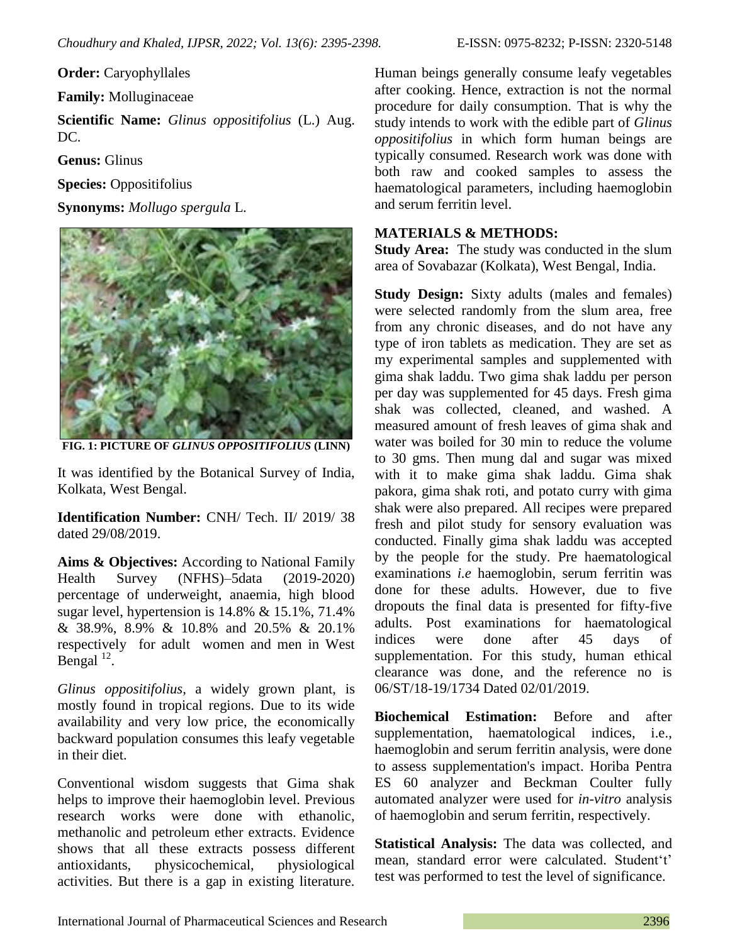**Order:** Caryophyllales

**Family:** Molluginaceae

**Scientific Name:** *Glinus oppositifolius* (L.) Aug. DC.

**Genus:** Glinus

**Species:** Oppositifolius

**Synonyms:** *Mollugo spergula* L.



**FIG. 1: PICTURE OF** *GLINUS OPPOSITIFOLIUS* **(LINN)**

It was identified by the Botanical Survey of India, Kolkata, West Bengal.

**Identification Number:** CNH/ Tech. II/ 2019/ 38 dated 29/08/2019.

**Aims & Objectives:** According to National Family Health Survey (NFHS)–5data (2019-2020) percentage of underweight, anaemia, high blood sugar level, hypertension is 14.8% & 15.1%, 71.4% & 38.9%, 8.9% & 10.8% and 20.5% & 20.1% respectively for adult women and men in West Bengal  $^{12}$ .

*Glinus oppositifolius*, a widely grown plant, is mostly found in tropical regions. Due to its wide availability and very low price, the economically backward population consumes this leafy vegetable in their diet.

Conventional wisdom suggests that Gima shak helps to improve their haemoglobin level. Previous research works were done with ethanolic, methanolic and petroleum ether extracts. Evidence shows that all these extracts possess different antioxidants, physicochemical, physiological activities. But there is a gap in existing literature.

Human beings generally consume leafy vegetables after cooking. Hence, extraction is not the normal procedure for daily consumption. That is why the study intends to work with the edible part of *Glinus oppositifolius* in which form human beings are typically consumed. Research work was done with both raw and cooked samples to assess the haematological parameters, including haemoglobin and serum ferritin level.

## **MATERIALS & METHODS:**

**Study Area:** The study was conducted in the slum area of Sovabazar (Kolkata), West Bengal, India.

**Study Design:** Sixty adults (males and females) were selected randomly from the slum area, free from any chronic diseases, and do not have any type of iron tablets as medication. They are set as my experimental samples and supplemented with gima shak laddu. Two gima shak laddu per person per day was supplemented for 45 days. Fresh gima shak was collected, cleaned, and washed. A measured amount of fresh leaves of gima shak and water was boiled for 30 min to reduce the volume to 30 gms. Then mung dal and sugar was mixed with it to make gima shak laddu. Gima shak pakora, gima shak roti, and potato curry with gima shak were also prepared. All recipes were prepared fresh and pilot study for sensory evaluation was conducted. Finally gima shak laddu was accepted by the people for the study. Pre haematological examinations *i.e* haemoglobin, serum ferritin was done for these adults. However, due to five dropouts the final data is presented for fifty-five adults. Post examinations for haematological indices were done after 45 days of supplementation. For this study, human ethical clearance was done, and the reference no is 06/ST/18-19/1734 Dated 02/01/2019.

**Biochemical Estimation:** Before and after supplementation, haematological indices, i.e., haemoglobin and serum ferritin analysis, were done to assess supplementation's impact. Horiba Pentra ES 60 analyzer and Beckman Coulter fully automated analyzer were used for *in-vitro* analysis of haemoglobin and serum ferritin, respectively.

**Statistical Analysis:** The data was collected, and mean, standard error were calculated. Student't' test was performed to test the level of significance.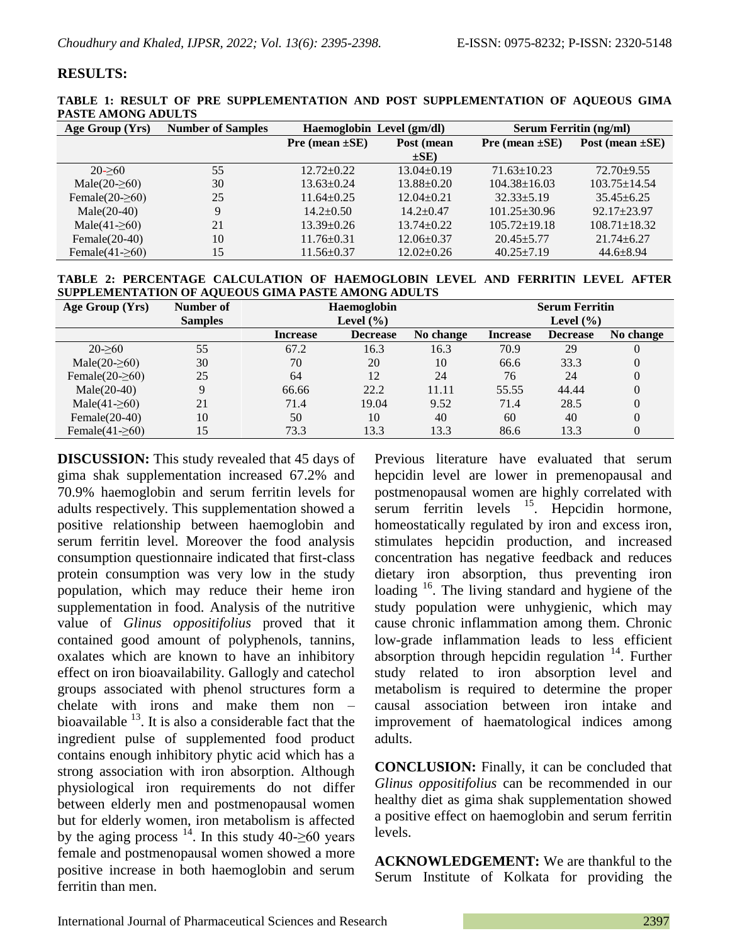### **RESULTS:**

|                           | TABLE 1: RESULT OF PRE SUPPLEMENTATION AND POST SUPPLEMENTATION OF AQUEOUS GIMA |  |  |
|---------------------------|---------------------------------------------------------------------------------|--|--|
| <b>PASTE AMONG ADULTS</b> |                                                                                 |  |  |

| Age Group (Yrs)        | <b>Number of Samples</b> | Haemoglobin Level (gm/dl)         |                  | <b>Serum Ferritin (ng/ml)</b> |                      |  |
|------------------------|--------------------------|-----------------------------------|------------------|-------------------------------|----------------------|--|
|                        |                          | Post (mean<br>Pre (mean $\pm$ SE) |                  | Pre (mean $\pm$ SE)           | Post (mean $\pm$ SE) |  |
|                        |                          |                                   | $\pm$ SE)        |                               |                      |  |
| $20 - 60$              | 55                       | $12.72 \pm 0.22$                  | $13.04+0.19$     | $71.63 \pm 10.23$             | $72.70 + 9.55$       |  |
| Male $(20-260)$        | 30                       | $13.63 \pm 0.24$                  | $13.88 \pm 0.20$ | $104.38 \pm 16.03$            | $103.75 \pm 14.54$   |  |
| Female(20- $\geq 60$ ) | 25                       | $11.64 + 0.25$                    | $12.04 \pm 0.21$ | $32.33 + 5.19$                | $35.45 + 6.25$       |  |
| $Male(20-40)$          | q                        | $14.2 \pm 0.50$                   | $14.2 + 0.47$    | $101.25 \pm 30.96$            | $92.17 + 23.97$      |  |
| Male(41- $\geq 60$ )   | 21                       | $13.39 \pm 0.26$                  | $13.74 + 0.22$   | $105.72 \pm 19.18$            | $108.71 \pm 18.32$   |  |
| Female $(20-40)$       | 10                       | $11.76 \pm 0.31$                  | $12.06 \pm 0.37$ | $20.45 + 5.77$                | $21.74 + 6.27$       |  |
| Female(41- $\geq$ 60)  | 15                       | $11.56 \pm 0.37$                  | $12.02 \pm 0.26$ | $40.25 \pm 7.19$              | $44.6 \pm 8.94$      |  |

**TABLE 2: PERCENTAGE CALCULATION OF HAEMOGLOBIN LEVEL AND FERRITIN LEVEL AFTER SUPPLEMENTATION OF AQUEOUS GIMA PASTE AMONG ADULTS**

| Age Group (Yrs)       | Number of      | Haemoglobin     |                 |           | <b>Serum Ferritin</b> |                 |           |
|-----------------------|----------------|-----------------|-----------------|-----------|-----------------------|-----------------|-----------|
|                       | <b>Samples</b> | Level $(\% )$   |                 |           | Level $(\% )$         |                 |           |
|                       |                | <b>Increase</b> | <b>Decrease</b> | No change | <b>Increase</b>       | <b>Decrease</b> | No change |
| $20 - 60$             | 55             | 67.2            | 16.3            | 16.3      | 70.9                  | 29              |           |
| Male(20- $\geq 60$ )  | 30             | 70              | 20              | 10        | 66.6                  | 33.3            | 0         |
| Female $(20-260)$     | 25             | 64              | 12              | 24        | 76                    | 24              | 0         |
| $Male(20-40)$         | Q              | 66.66           | 22.2            | 11.11     | 55.55                 | 44.44           | $\theta$  |
| Male(41- $\geq 60$ )  | 21             | 71.4            | 19.04           | 9.52      | 71.4                  | 28.5            | $\theta$  |
| Female $(20-40)$      | 10             | 50              | 10              | 40        | 60                    | 40              | 0         |
| Female(41- $\geq$ 60) | 15             | 73.3            | 13.3            | 13.3      | 86.6                  | 13.3            |           |

**DISCUSSION:** This study revealed that 45 days of gima shak supplementation increased 67.2% and 70.9% haemoglobin and serum ferritin levels for adults respectively. This supplementation showed a positive relationship between haemoglobin and serum ferritin level. Moreover the food analysis consumption questionnaire indicated that first-class protein consumption was very low in the study population, which may reduce their heme iron supplementation in food. Analysis of the nutritive value of *Glinus oppositifolius* proved that it contained good amount of polyphenols, tannins, oxalates which are known to have an inhibitory effect on iron bioavailability. Gallogly and catechol groups associated with phenol structures form a chelate with irons and make them non – bioavailable <sup>13</sup>. It is also a considerable fact that the ingredient pulse of supplemented food product contains enough inhibitory phytic acid which has a strong association with iron absorption. Although physiological iron requirements do not differ between elderly men and postmenopausal women but for elderly women, iron metabolism is affected by the aging process  $14$ . In this study 40-≥60 years female and postmenopausal women showed a more positive increase in both haemoglobin and serum ferritin than men.

Previous literature have evaluated that serum hepcidin level are lower in premenopausal and postmenopausal women are highly correlated with  $\text{serum}$  ferritin levels  $^{15}$ . Hepcidin hormone, homeostatically regulated by iron and excess iron, stimulates hepcidin production, and increased concentration has negative feedback and reduces dietary iron absorption, thus preventing iron loading <sup>16</sup>. The living standard and hygiene of the study population were unhygienic, which may cause chronic inflammation among them. Chronic low-grade inflammation leads to less efficient absorption through hepcidin regulation  $14$ . Further study related to iron absorption level and metabolism is required to determine the proper causal association between iron intake and improvement of haematological indices among adults.

**CONCLUSION:** Finally, it can be concluded that *Glinus oppositifolius* can be recommended in our healthy diet as gima shak supplementation showed a positive effect on haemoglobin and serum ferritin levels.

**ACKNOWLEDGEMENT:** We are thankful to the Serum Institute of Kolkata for providing the